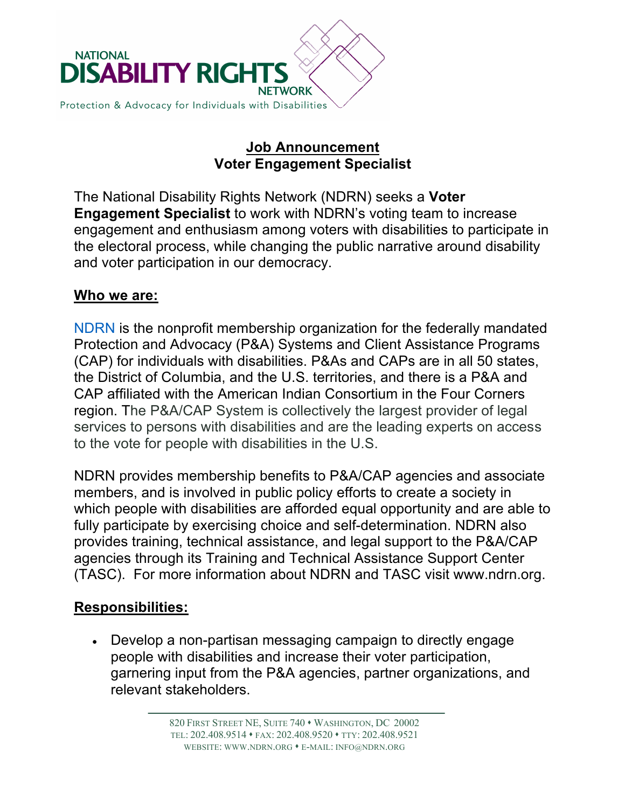

### **Job Announcement Voter Engagement Specialist**

The National Disability Rights Network (NDRN) seeks a **Voter Engagement Specialist** to work with NDRN's voting team to increase engagement and enthusiasm among voters with disabilities to participate in the electoral process, while changing the public narrative around disability and voter participation in our democracy.

#### **Who we are:**

NDRN is the nonprofit membership organization for the federally mandated Protection and Advocacy (P&A) Systems and Client Assistance Programs (CAP) for individuals with disabilities. P&As and CAPs are in all 50 states, the District of Columbia, and the U.S. territories, and there is a P&A and CAP affiliated with the American Indian Consortium in the Four Corners region. The P&A/CAP System is collectively the largest provider of legal services to persons with disabilities and are the leading experts on access to the vote for people with disabilities in the U.S.

NDRN provides membership benefits to P&A/CAP agencies and associate members, and is involved in public policy efforts to create a society in which people with disabilities are afforded equal opportunity and are able to fully participate by exercising choice and self-determination. NDRN also provides training, technical assistance, and legal support to the P&A/CAP agencies through its Training and Technical Assistance Support Center (TASC). For more information about NDRN and TASC visit www.ndrn.org.

### **Responsibilities:**

• Develop a non-partisan messaging campaign to directly engage people with disabilities and increase their voter participation, garnering input from the P&A agencies, partner organizations, and relevant stakeholders.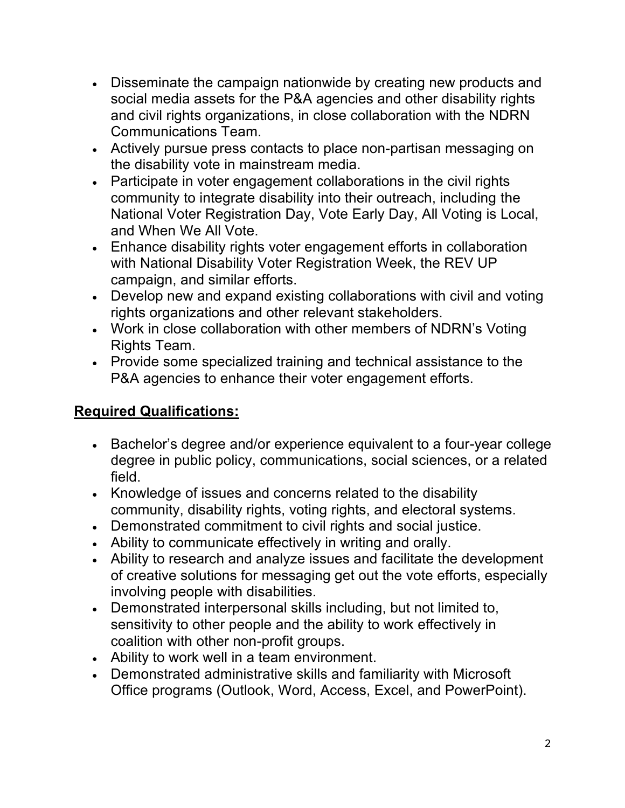- Disseminate the campaign nationwide by creating new products and social media assets for the P&A agencies and other disability rights and civil rights organizations, in close collaboration with the NDRN Communications Team.
- Actively pursue press contacts to place non-partisan messaging on the disability vote in mainstream media.
- Participate in voter engagement collaborations in the civil rights community to integrate disability into their outreach, including the National Voter Registration Day, Vote Early Day, All Voting is Local, and When We All Vote.
- Enhance disability rights voter engagement efforts in collaboration with National Disability Voter Registration Week, the REV UP campaign, and similar efforts.
- Develop new and expand existing collaborations with civil and voting rights organizations and other relevant stakeholders.
- Work in close collaboration with other members of NDRN's Voting Rights Team.
- Provide some specialized training and technical assistance to the P&A agencies to enhance their voter engagement efforts.

# **Required Qualifications:**

- Bachelor's degree and/or experience equivalent to a four-year college degree in public policy, communications, social sciences, or a related field.
- Knowledge of issues and concerns related to the disability community, disability rights, voting rights, and electoral systems.
- Demonstrated commitment to civil rights and social justice.
- Ability to communicate effectively in writing and orally.
- Ability to research and analyze issues and facilitate the development of creative solutions for messaging get out the vote efforts, especially involving people with disabilities.
- Demonstrated interpersonal skills including, but not limited to, sensitivity to other people and the ability to work effectively in coalition with other non-profit groups.
- Ability to work well in a team environment.
- Demonstrated administrative skills and familiarity with Microsoft Office programs (Outlook, Word, Access, Excel, and PowerPoint).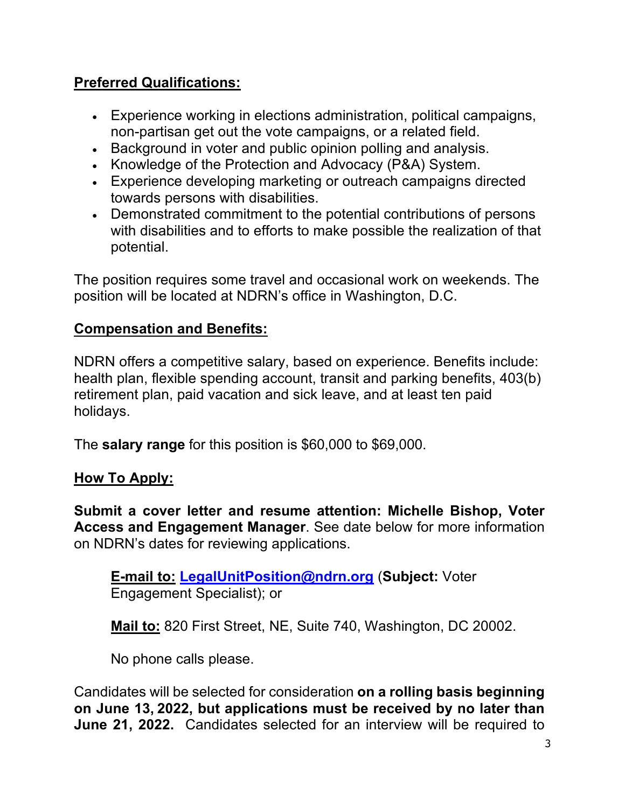## **Preferred Qualifications:**

- Experience working in elections administration, political campaigns, non-partisan get out the vote campaigns, or a related field.
- Background in voter and public opinion polling and analysis.
- Knowledge of the Protection and Advocacy (P&A) System.
- Experience developing marketing or outreach campaigns directed towards persons with disabilities.
- Demonstrated commitment to the potential contributions of persons with disabilities and to efforts to make possible the realization of that potential.

The position requires some travel and occasional work on weekends. The position will be located at NDRN's office in Washington, D.C.

## **Compensation and Benefits:**

NDRN offers a competitive salary, based on experience. Benefits include: health plan, flexible spending account, transit and parking benefits, 403(b) retirement plan, paid vacation and sick leave, and at least ten paid holidays.

The **salary range** for this position is \$60,000 to \$69,000.

### **How To Apply:**

**Submit a cover letter and resume attention: Michelle Bishop, Voter Access and Engagement Manager**. See date below for more information on NDRN's dates for reviewing applications.

**E-mail to: LegalUnitPosition@ndrn.org** (**Subject:** Voter Engagement Specialist); or

**Mail to:** 820 First Street, NE, Suite 740, Washington, DC 20002.

No phone calls please.

Candidates will be selected for consideration **on a rolling basis beginning on June 13, 2022, but applications must be received by no later than June 21, 2022.** Candidates selected for an interview will be required to